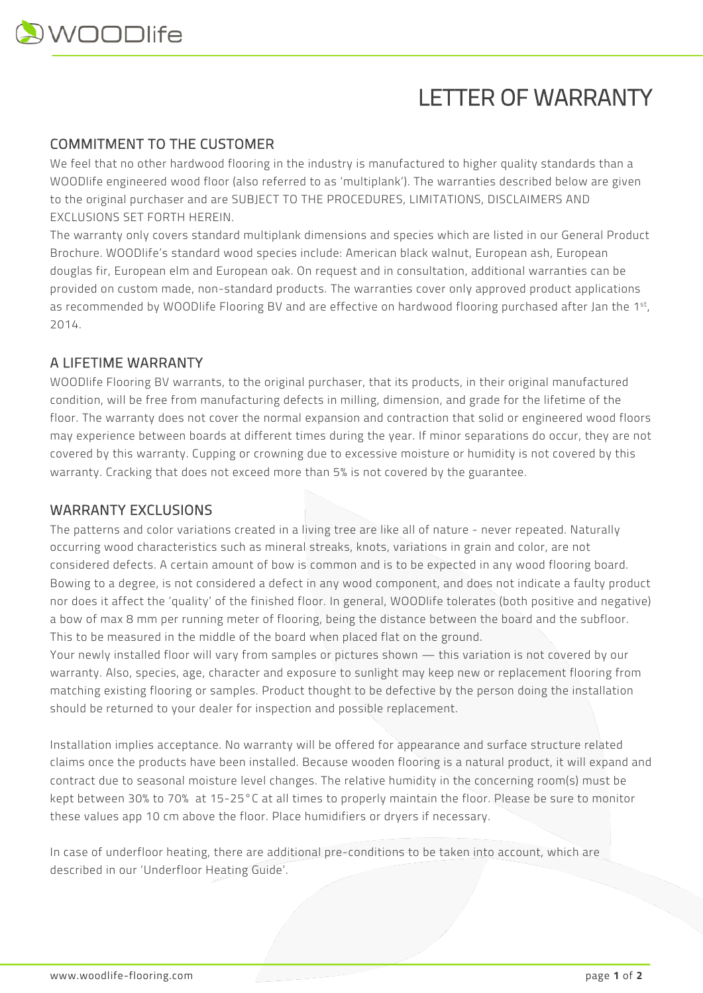# LETTER OF WARRANTY

### COMMITMENT TO THE CUSTOMER

We feel that no other hardwood flooring in the industry is manufactured to higher quality standards than a WOODlife engineered wood floor (also referred to as 'multiplank'). The warranties described below are given to the original purchaser and are SUBJECT TO THE PROCEDURES, LIMITATIONS, DISCLAIMERS AND EXCLUSIONS SET FORTH HEREIN.

The warranty only covers standard multiplank dimensions and species which are listed in our General Product Brochure. WOODlife's standard wood species include: American black walnut, European ash, European douglas fir, European elm and European oak. On request and in consultation, additional warranties can be provided on custom made, non-standard products. The warranties cover only approved product applications as recommended by WOODlife Flooring BV and are effective on hardwood flooring purchased after Jan the 1st, 2014.

## A LIFETIME WARRANTY

WOODlife Flooring BV warrants, to the original purchaser, that its products, in their original manufactured condition, will be free from manufacturing defects in milling, dimension, and grade for the lifetime of the floor. The warranty does not cover the normal expansion and contraction that solid or engineered wood floors may experience between boards at different times during the year. If minor separations do occur, they are not covered by this warranty. Cupping or crowning due to excessive moisture or humidity is not covered by this warranty. Cracking that does not exceed more than 5% is not covered by the guarantee.

### WARRANTY EXCLUSIONS

The patterns and color variations created in a living tree are like all of nature - never repeated. Naturally occurring wood characteristics such as mineral streaks, knots, variations in grain and color, are not considered defects. A certain amount of bow is common and is to be expected in any wood flooring board. Bowing to a degree, is not considered a defect in any wood component, and does not indicate a faulty product nor does it affect the 'quality' of the finished floor. In general, WOODlife tolerates (both positive and negative) a bow of max 8 mm per running meter of flooring, being the distance between the board and the subfloor. This to be measured in the middle of the board when placed flat on the ground.

Your newly installed floor will vary from samples or pictures shown — this variation is not covered by our warranty. Also, species, age, character and exposure to sunlight may keep new or replacement flooring from matching existing flooring or samples. Product thought to be defective by the person doing the installation should be returned to your dealer for inspection and possible replacement.

Installation implies acceptance. No warranty will be offered for appearance and surface structure related claims once the products have been installed. Because wooden flooring is a natural product, it will expand and contract due to seasonal moisture level changes. The relative humidity in the concerning room(s) must be kept between 30% to 70% at 15-25°C at all times to properly maintain the floor. Please be sure to monitor these values app 10 cm above the floor. Place humidifiers or dryers if necessary.

In case of underfloor heating, there are additional pre-conditions to be taken into account, which are described in our 'Underfloor Heating Guide'.